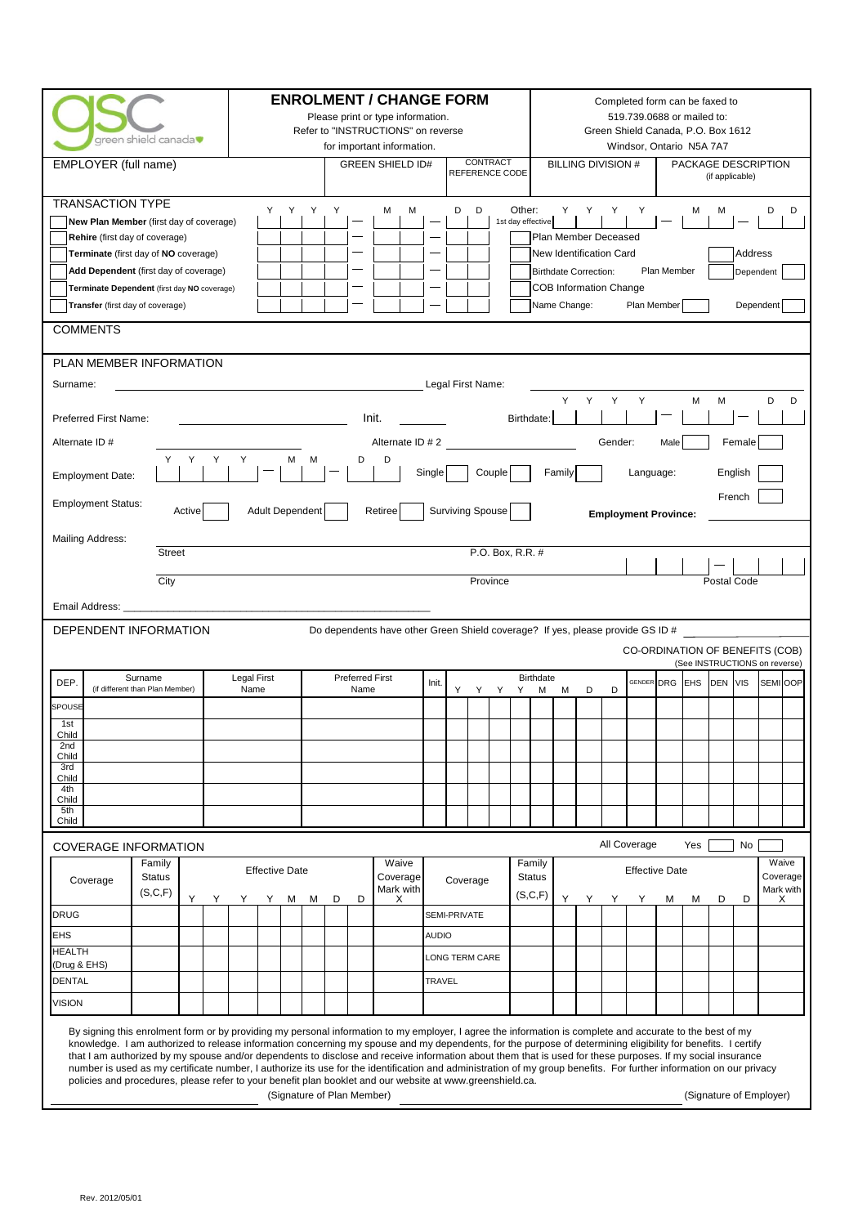| green shield canada<br>EMPLOYER (full name)                                                                                                                                                                                                                                                                                                                                                                                                                                                                                                                                                                                                                                                                                                                                                                                          | <b>ENROLMENT / CHANGE FORM</b><br>Refer to "INSTRUCTIONS" on reverse | Please print or type information.<br>for important information.<br><b>GREEN SHIELD ID#</b> | CONTRACT<br>REFERENCE CODE                        | <b>BILLING DIVISION #</b>                                                                                                                        | Completed form can be faxed to<br>519.739.0688 or mailed to:<br>Green Shield Canada, P.O. Box 1612<br>Windsor, Ontario N5A 7A7<br>PACKAGE DESCRIPTION<br>(if applicable) |  |
|--------------------------------------------------------------------------------------------------------------------------------------------------------------------------------------------------------------------------------------------------------------------------------------------------------------------------------------------------------------------------------------------------------------------------------------------------------------------------------------------------------------------------------------------------------------------------------------------------------------------------------------------------------------------------------------------------------------------------------------------------------------------------------------------------------------------------------------|----------------------------------------------------------------------|--------------------------------------------------------------------------------------------|---------------------------------------------------|--------------------------------------------------------------------------------------------------------------------------------------------------|--------------------------------------------------------------------------------------------------------------------------------------------------------------------------|--|
| <b>TRANSACTION TYPE</b><br>New Plan Member (first day of coverage)<br>Rehire (first day of coverage)<br>Terminate (first day of NO coverage)<br>Add Dependent (first day of coverage)<br>Terminate Dependent (first day NO coverage)<br>Transfer (first day of coverage)<br><b>COMMENTS</b>                                                                                                                                                                                                                                                                                                                                                                                                                                                                                                                                          | Y<br>Y.<br>Y<br>Y.                                                   | М<br>м                                                                                     | Other:<br>D<br>D<br>1st day effective             | Y.<br>Y<br>Y<br>Plan Member Deceased<br>New Identification Card<br><b>Birthdate Correction:</b><br><b>COB Information Change</b><br>Name Change: | D<br>D<br>M<br>м<br>Address<br>Plan Member<br>Dependent<br>Plan Member<br>Dependent                                                                                      |  |
| PLAN MEMBER INFORMATION<br>Legal First Name:<br>Surname:<br>Y<br>Y<br>Y<br>Y<br>M<br>M<br>D<br>D<br>Init.<br>Birthdate:<br>Preferred First Name:<br>Alternate ID # 2<br>Alternate ID #<br>Gender:<br>Male<br>Female<br>Y<br>Y<br>D<br>Y<br>м<br>м<br>D<br>Single<br>Couple<br>Family<br>Language:<br>English<br><b>Employment Date:</b><br>French<br><b>Employment Status:</b><br><b>Surviving Spouse</b><br>Active<br><b>Adult Dependent</b><br>Retiree<br><b>Employment Province:</b><br><b>Mailing Address:</b>                                                                                                                                                                                                                                                                                                                   |                                                                      |                                                                                            |                                                   |                                                                                                                                                  |                                                                                                                                                                          |  |
| <b>Street</b><br>P.O. Box, R.R. #<br>City<br>Province<br>Postal Code<br>Email Address: _<br>DEPENDENT INFORMATION<br>Do dependents have other Green Shield coverage? If yes, please provide GS ID #<br>CO-ORDINATION OF BENEFITS (COB)<br>(See INSTRUCTIONS on reverse)                                                                                                                                                                                                                                                                                                                                                                                                                                                                                                                                                              |                                                                      |                                                                                            |                                                   |                                                                                                                                                  |                                                                                                                                                                          |  |
| Surname<br>DEP.<br>(if different than Plan Member)<br><b>SPOUSE</b><br>1st<br>Child<br>2nd<br>Child<br>3rd<br>Child<br>4th<br>Child<br>5th<br>Child                                                                                                                                                                                                                                                                                                                                                                                                                                                                                                                                                                                                                                                                                  | <b>Preferred First</b><br>Legal First<br>Name<br>Name                | Init.                                                                                      | Y Y Y<br>Y                                        | <b>Birthdate</b><br>M<br>M<br>D<br>D                                                                                                             | GENDER DRG EHS<br>DEN VIS<br>SEMI OOP                                                                                                                                    |  |
| <b>COVERAGE INFORMATION</b><br>Family<br><b>Status</b><br>Coverage<br>(S, C, F)<br>Y<br>Y<br><b>DRUG</b><br><b>EHS</b><br><b>HEALTH</b><br>(Drug & EHS)<br>DENTAL<br><b>VISION</b>                                                                                                                                                                                                                                                                                                                                                                                                                                                                                                                                                                                                                                                   | <b>Effective Date</b><br>Y<br>Y<br>М<br>M<br>D<br>D                  | Waive<br>Coverage<br>Mark with<br>X<br><b>AUDIO</b><br><b>TRAVEL</b>                       | Coverage<br>SEMI-PRIVATE<br><b>LONG TERM CARE</b> | All Coverage<br>Family<br><b>Status</b><br>(S, C, F)<br>Y<br>Y<br>Y<br>Y                                                                         | Yes<br>No<br>Waive<br><b>Effective Date</b><br>Coverage<br>Mark with<br>D<br>м<br>М<br>D<br>X                                                                            |  |
| By signing this enrolment form or by providing my personal information to my employer, I agree the information is complete and accurate to the best of my<br>knowledge. I am authorized to release information concerning my spouse and my dependents, for the purpose of determining eligibility for benefits. I certify<br>that I am authorized by my spouse and/or dependents to disclose and receive information about them that is used for these purposes. If my social insurance<br>number is used as my certificate number, I authorize its use for the identification and administration of my group benefits. For further information on our privacy<br>policies and procedures, please refer to your benefit plan booklet and our website at www.greenshield.ca.<br>(Signature of Plan Member)<br>(Signature of Employer) |                                                                      |                                                                                            |                                                   |                                                                                                                                                  |                                                                                                                                                                          |  |